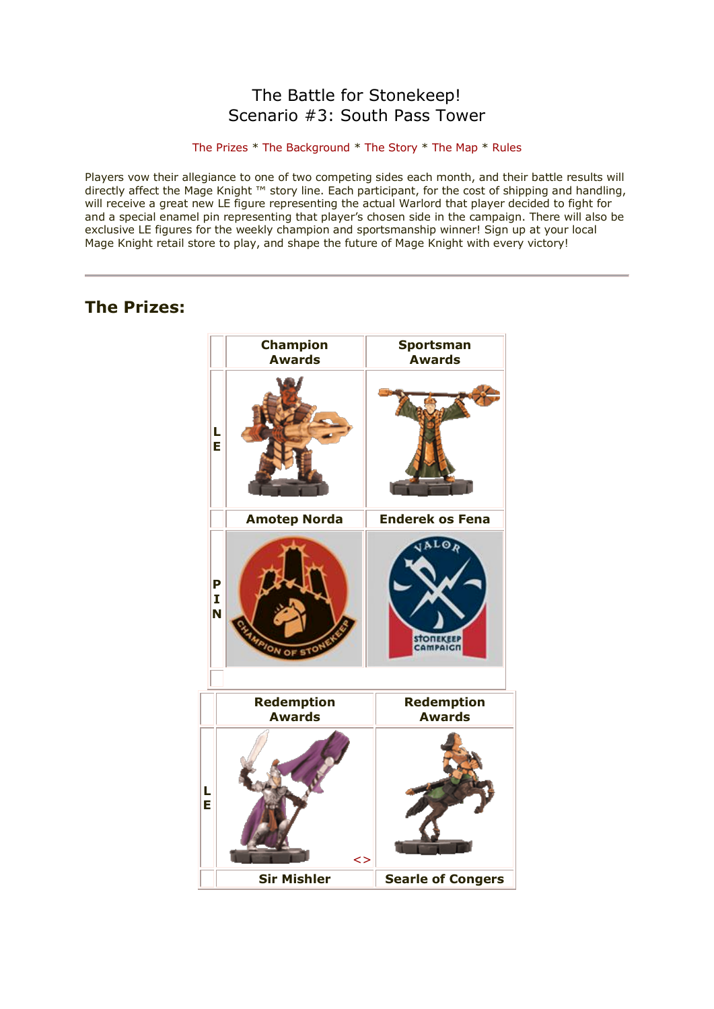# The Battle for Stonekeep! Scenario #3: South Pass Tower

## [The Prizes](http://www.wizkidsgames.com/mageknight/article.asp?cid=37091&frame=Talesfromtheland#prizes#prizes) \* [The Background](http://www.wizkidsgames.com/mageknight/article.asp?cid=37091&frame=Talesfromtheland#background#background) \* [The Story](http://www.wizkidsgames.com/mageknight/article.asp?cid=37091&frame=Talesfromtheland#story#story) \* [The Map](http://www.wizkidsgames.com/mageknight/article.asp?cid=37091&frame=Talesfromtheland#map#map) \* [Rules](http://www.wizkidsgames.com/mageknight/article.asp?cid=37091&frame=Talesfromtheland#week#week)

Players vow their allegiance to one of two competing sides each month, and their battle results will directly affect the Mage Knight ™ story line. Each participant, for the cost of shipping and handling, will receive a great new LE figure representing the actual Warlord that player decided to fight for and a special enamel pin representing that player's chosen side in the campaign. There will also be exclusive LE figures for the weekly champion and sportsmanship winner! Sign up at your local Mage Knight retail store to play, and shape the future of Mage Knight with every victory!

# **The Prizes:**

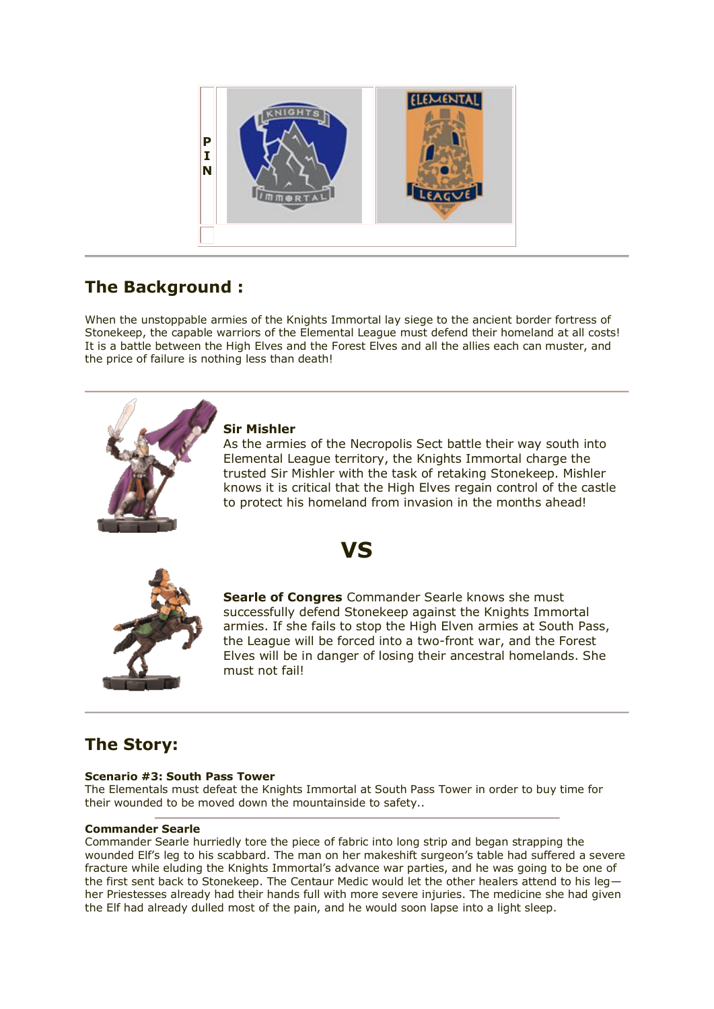

# **The Background :**

When the unstoppable armies of the Knights Immortal lay siege to the ancient border fortress of Stonekeep, the capable warriors of the Elemental League must defend their homeland at all costs! It is a battle between the High Elves and the Forest Elves and all the allies each can muster, and the price of failure is nothing less than death!



# **Sir Mishler**

As the armies of the Necropolis Sect battle their way south into Elemental League territory, the Knights Immortal charge the trusted Sir Mishler with the task of retaking Stonekeep. Mishler knows it is critical that the High Elves regain control of the castle to protect his homeland from invasion in the months ahead!





**Searle of Congres** Commander Searle knows she must successfully defend Stonekeep against the Knights Immortal armies. If she fails to stop the High Elven armies at South Pass, the League will be forced into a two-front war, and the Forest Elves will be in danger of losing their ancestral homelands. She must not fail!

# **The Story:**

# **Scenario #3: South Pass Tower**

The Elementals must defeat the Knights Immortal at South Pass Tower in order to buy time for their wounded to be moved down the mountainside to safety..

## **Commander Searle**

Commander Searle hurriedly tore the piece of fabric into long strip and began strapping the wounded Elf's leg to his scabbard. The man on her makeshift surgeon's table had suffered a severe fracture while eluding the Knights Immortal's advance war parties, and he was going to be one of the first sent back to Stonekeep. The Centaur Medic would let the other healers attend to his leg her Priestesses already had their hands full with more severe injuries. The medicine she had given the Elf had already dulled most of the pain, and he would soon lapse into a light sleep.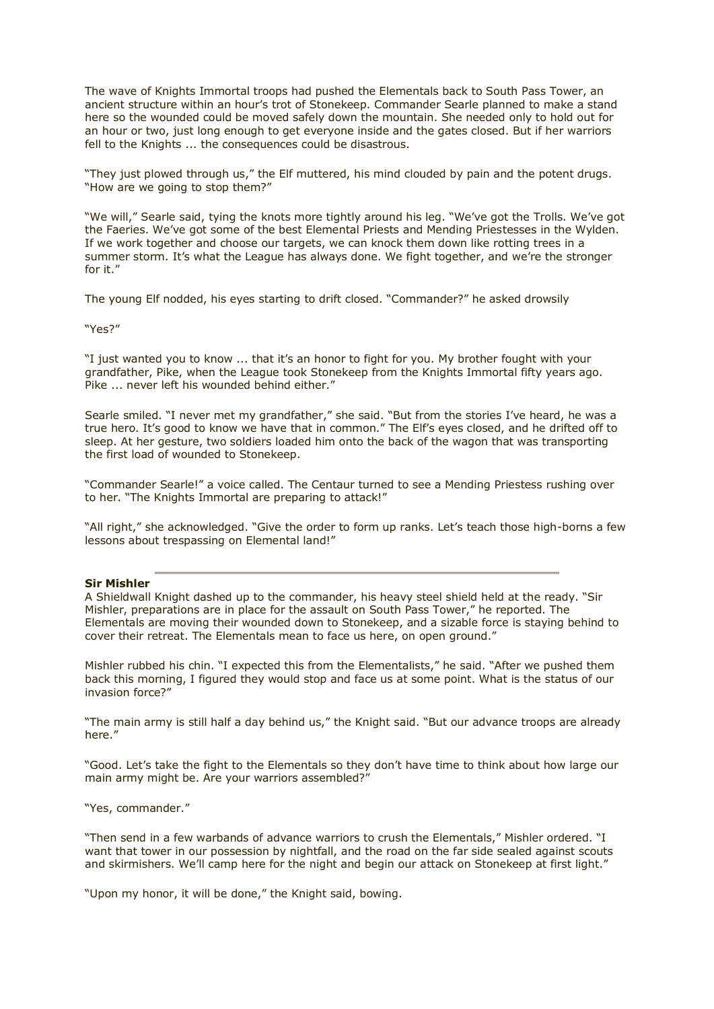The wave of Knights Immortal troops had pushed the Elementals back to South Pass Tower, an ancient structure within an hour's trot of Stonekeep. Commander Searle planned to make a stand here so the wounded could be moved safely down the mountain. She needed only to hold out for an hour or two, just long enough to get everyone inside and the gates closed. But if her warriors fell to the Knights ... the consequences could be disastrous.

"They just plowed through us," the Elf muttered, his mind clouded by pain and the potent drugs. "How are we going to stop them?"

"We will," Searle said, tying the knots more tightly around his leg. "We've got the Trolls. We've got the Faeries. We've got some of the best Elemental Priests and Mending Priestesses in the Wylden. If we work together and choose our targets, we can knock them down like rotting trees in a summer storm. It's what the League has always done. We fight together, and we're the stronger for it."

The young Elf nodded, his eyes starting to drift closed. "Commander?" he asked drowsily

"Yes?"

"I just wanted you to know ... that it's an honor to fight for you. My brother fought with your grandfather, Pike, when the League took Stonekeep from the Knights Immortal fifty years ago. Pike ... never left his wounded behind either."

Searle smiled. "I never met my grandfather," she said. "But from the stories I've heard, he was a true hero. It's good to know we have that in common." The Elf's eyes closed, and he drifted off to sleep. At her gesture, two soldiers loaded him onto the back of the wagon that was transporting the first load of wounded to Stonekeep.

"Commander Searle!" a voice called. The Centaur turned to see a Mending Priestess rushing over to her. "The Knights Immortal are preparing to attack!"

"All right," she acknowledged. "Give the order to form up ranks. Let's teach those high-borns a few lessons about trespassing on Elemental land!"

## **Sir Mishler**

A Shieldwall Knight dashed up to the commander, his heavy steel shield held at the ready. "Sir Mishler, preparations are in place for the assault on South Pass Tower," he reported. The Elementals are moving their wounded down to Stonekeep, and a sizable force is staying behind to cover their retreat. The Elementals mean to face us here, on open ground."

Mishler rubbed his chin. "I expected this from the Elementalists," he said. "After we pushed them back this morning, I figured they would stop and face us at some point. What is the status of our invasion force?"

"The main army is still half a day behind us," the Knight said. "But our advance troops are already here."

"Good. Let's take the fight to the Elementals so they don't have time to think about how large our main army might be. Are your warriors assembled?"

"Yes, commander."

"Then send in a few warbands of advance warriors to crush the Elementals," Mishler ordered. "I want that tower in our possession by nightfall, and the road on the far side sealed against scouts and skirmishers. We'll camp here for the night and begin our attack on Stonekeep at first light."

"Upon my honor, it will be done," the Knight said, bowing.